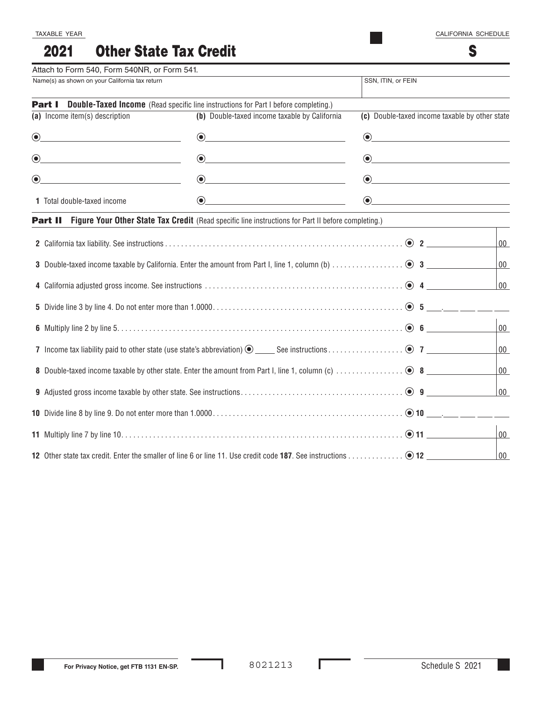#### Other State Tax Credit 2021

| Attach to Form 540, Form 540NR, or Form 541.                                                                                       |                                                                                                                                                                                                                                                                                                                                                                                                                                                                                                                                                                                                                                                                                                                                                  |                                                                                                                                                                                                                                                                                                                                                  |        |
|------------------------------------------------------------------------------------------------------------------------------------|--------------------------------------------------------------------------------------------------------------------------------------------------------------------------------------------------------------------------------------------------------------------------------------------------------------------------------------------------------------------------------------------------------------------------------------------------------------------------------------------------------------------------------------------------------------------------------------------------------------------------------------------------------------------------------------------------------------------------------------------------|--------------------------------------------------------------------------------------------------------------------------------------------------------------------------------------------------------------------------------------------------------------------------------------------------------------------------------------------------|--------|
| Name(s) as shown on your California tax return                                                                                     |                                                                                                                                                                                                                                                                                                                                                                                                                                                                                                                                                                                                                                                                                                                                                  | SSN, ITIN, or FEIN                                                                                                                                                                                                                                                                                                                               |        |
|                                                                                                                                    | <b>Part I</b> Double-Taxed Income (Read specific line instructions for Part I before completing.)                                                                                                                                                                                                                                                                                                                                                                                                                                                                                                                                                                                                                                                |                                                                                                                                                                                                                                                                                                                                                  |        |
| (a) Income item(s) description                                                                                                     | (b) Double-taxed income taxable by California                                                                                                                                                                                                                                                                                                                                                                                                                                                                                                                                                                                                                                                                                                    | (c) Double-taxed income taxable by other state                                                                                                                                                                                                                                                                                                   |        |
| $\bigcirc$                                                                                                                         | $\begin{picture}(20,20)(-10,0) \put(0,0){\vector(1,0){10}} \put(15,0){\vector(1,0){10}} \put(15,0){\vector(1,0){10}} \put(15,0){\vector(1,0){10}} \put(15,0){\vector(1,0){10}} \put(15,0){\vector(1,0){10}} \put(15,0){\vector(1,0){10}} \put(15,0){\vector(1,0){10}} \put(15,0){\vector(1,0){10}} \put(15,0){\vector(1,0){10}} \put(15,0){\vector(1,0){10}} \put(15,$                                                                                                                                                                                                                                                                                                                                                                           | $\odot$                                                                                                                                                                                                                                                                                                                                          |        |
| $\textcircled{\small{\bullet}}$                                                                                                    | $\begin{picture}(20,20)(-10,0) \put(0,0){\vector(1,0){10}} \put(15,0){\vector(1,0){10}} \put(15,0){\vector(1,0){10}} \put(15,0){\vector(1,0){10}} \put(15,0){\vector(1,0){10}} \put(15,0){\vector(1,0){10}} \put(15,0){\vector(1,0){10}} \put(15,0){\vector(1,0){10}} \put(15,0){\vector(1,0){10}} \put(15,0){\vector(1,0){10}} \put(15,0){\vector(1,0){10}} \put(15,$                                                                                                                                                                                                                                                                                                                                                                           | $\begin{picture}(20,20)(-0.0,0.0) \put(0,0){\line(1,0){10}} \put(15,0){\line(1,0){10}} \put(15,0){\line(1,0){10}} \put(15,0){\line(1,0){10}} \put(15,0){\line(1,0){10}} \put(15,0){\line(1,0){10}} \put(15,0){\line(1,0){10}} \put(15,0){\line(1,0){10}} \put(15,0){\line(1,0){10}} \put(15,0){\line(1,0){10}} \put(15,0){\line(1,0){10}} \put($ |        |
| $\bigcirc$                                                                                                                         | $\begin{picture}(20,20)(-0,0) \put(0,0){\vector(1,0){10}} \put(15,0){\vector(1,0){10}} \put(15,0){\vector(1,0){10}} \put(15,0){\vector(1,0){10}} \put(15,0){\vector(1,0){10}} \put(15,0){\vector(1,0){10}} \put(15,0){\vector(1,0){10}} \put(15,0){\vector(1,0){10}} \put(15,0){\vector(1,0){10}} \put(15,0){\vector(1,0){10}} \put(15,0){\vector(1,0){10}} \put(15,0$                                                                                                                                                                                                                                                                                                                                                                           | $\odot$ and the contract of $\odot$                                                                                                                                                                                                                                                                                                              |        |
| 1 Total double-taxed income                                                                                                        | $\begin{picture}(20,20)(-10,0) \put(0,0){\vector(1,0){10}} \put(15,0){\vector(1,0){10}} \put(15,0){\vector(1,0){10}} \put(15,0){\vector(1,0){10}} \put(15,0){\vector(1,0){10}} \put(15,0){\vector(1,0){10}} \put(15,0){\vector(1,0){10}} \put(15,0){\vector(1,0){10}} \put(15,0){\vector(1,0){10}} \put(15,0){\vector(1,0){10}} \put(15,0){\vector(1,0){10}} \put(15,$<br>$\begin{picture}(20,20)(-10,0) \put(0,0){\vector(1,0){10}} \put(15,0){\vector(1,0){10}} \put(15,0){\vector(1,0){10}} \put(15,0){\vector(1,0){10}} \put(15,0){\vector(1,0){10}} \put(15,0){\vector(1,0){10}} \put(15,0){\vector(1,0){10}} \put(15,0){\vector(1,0){10}} \put(15,0){\vector(1,0){10}} \put(15,0){\vector(1,0){10}} \put(15,0){\vector(1,0){10}} \put(15,$ |                                                                                                                                                                                                                                                                                                                                                  |        |
|                                                                                                                                    | <b>Part II</b> Figure Your Other State Tax Credit (Read specific line instructions for Part II before completing.)                                                                                                                                                                                                                                                                                                                                                                                                                                                                                                                                                                                                                               |                                                                                                                                                                                                                                                                                                                                                  |        |
|                                                                                                                                    |                                                                                                                                                                                                                                                                                                                                                                                                                                                                                                                                                                                                                                                                                                                                                  |                                                                                                                                                                                                                                                                                                                                                  | 00     |
|                                                                                                                                    |                                                                                                                                                                                                                                                                                                                                                                                                                                                                                                                                                                                                                                                                                                                                                  |                                                                                                                                                                                                                                                                                                                                                  | $00\,$ |
|                                                                                                                                    |                                                                                                                                                                                                                                                                                                                                                                                                                                                                                                                                                                                                                                                                                                                                                  |                                                                                                                                                                                                                                                                                                                                                  | 00     |
|                                                                                                                                    |                                                                                                                                                                                                                                                                                                                                                                                                                                                                                                                                                                                                                                                                                                                                                  |                                                                                                                                                                                                                                                                                                                                                  |        |
|                                                                                                                                    |                                                                                                                                                                                                                                                                                                                                                                                                                                                                                                                                                                                                                                                                                                                                                  |                                                                                                                                                                                                                                                                                                                                                  | $00\,$ |
|                                                                                                                                    |                                                                                                                                                                                                                                                                                                                                                                                                                                                                                                                                                                                                                                                                                                                                                  |                                                                                                                                                                                                                                                                                                                                                  | $00\,$ |
| 8 Double-taxed income taxable by other state. Enter the amount from Part I, line 1, column (c) $\ldots$ $\ldots$ $\ldots$ $\ldots$ |                                                                                                                                                                                                                                                                                                                                                                                                                                                                                                                                                                                                                                                                                                                                                  |                                                                                                                                                                                                                                                                                                                                                  | 00     |
|                                                                                                                                    |                                                                                                                                                                                                                                                                                                                                                                                                                                                                                                                                                                                                                                                                                                                                                  |                                                                                                                                                                                                                                                                                                                                                  | 00     |
|                                                                                                                                    |                                                                                                                                                                                                                                                                                                                                                                                                                                                                                                                                                                                                                                                                                                                                                  |                                                                                                                                                                                                                                                                                                                                                  |        |
|                                                                                                                                    |                                                                                                                                                                                                                                                                                                                                                                                                                                                                                                                                                                                                                                                                                                                                                  | $00\,$                                                                                                                                                                                                                                                                                                                                           |        |
|                                                                                                                                    |                                                                                                                                                                                                                                                                                                                                                                                                                                                                                                                                                                                                                                                                                                                                                  | $00\,$                                                                                                                                                                                                                                                                                                                                           |        |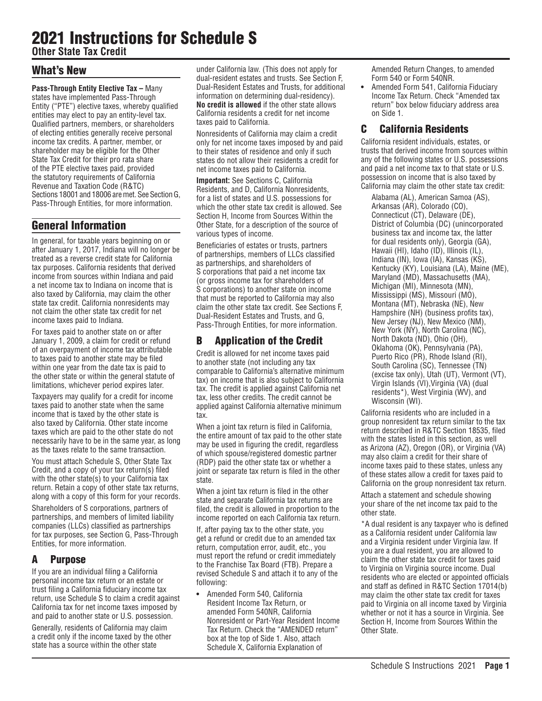# 2021 Instructions for Schedule S

**Other State Tax Credit**

# What's New

**Pass-Through Entity Elective Tax –** Many states have implemented Pass-Through Entity ("PTE") elective taxes, whereby qualified entities may elect to pay an entity-level tax. Qualified partners, members, or shareholders of electing entities generally receive personal income tax credits. A partner, member, or shareholder may be eligible for the Other State Tax Credit for their pro rata share of the PTE elective taxes paid, provided the statutory requirements of California Revenue and Taxation Code (R&TC) Sections 18001 and 18006 are met. See Section G, Pass-Through Entities, for more information.

# General Information

In general, for taxable years beginning on or after January 1, 2017, Indiana will no longer be treated as a reverse credit state for California tax purposes. California residents that derived income from sources within Indiana and paid a net income tax to Indiana on income that is also taxed by California, may claim the other state tax credit. California nonresidents may not claim the other state tax credit for net income taxes paid to Indiana.

For taxes paid to another state on or after January 1, 2009, a claim for credit or refund of an overpayment of income tax attributable to taxes paid to another state may be filed within one year from the date tax is paid to the other state or within the general statute of limitations, whichever period expires later.

Taxpayers may qualify for a credit for income taxes paid to another state when the same income that is taxed by the other state is also taxed by California. Other state income taxes which are paid to the other state do not necessarily have to be in the same year, as long as the taxes relate to the same transaction.

You must attach Schedule S, Other State Tax Credit, and a copy of your tax return(s) filed with the other state(s) to your California tax return. Retain a copy of other state tax returns, along with a copy of this form for your records.

Shareholders of S corporations, partners of partnerships, and members of limited liability companies (LLCs) classified as partnerships for tax purposes, see Section G, Pass-Through Entities, for more information.

# A Purpose

If you are an individual filing a California personal income tax return or an estate or trust filing a California fiduciary income tax return, use Schedule S to claim a credit against California tax for net income taxes imposed by and paid to another state or U.S. possession.

Generally, residents of California may claim a credit only if the income taxed by the other state has a source within the other state

under California law. (This does not apply for dual-resident estates and trusts. See Section F, Dual-Resident Estates and Trusts, for additional information on determining dual-residency). **No credit is allowed** if the other state allows California residents a credit for net income taxes paid to California.

Nonresidents of California may claim a credit only for net income taxes imposed by and paid to their states of residence and only if such states do not allow their residents a credit for net income taxes paid to California.

**Important:** See Sections C, California Residents, and D, California Nonresidents, for a list of states and U.S. possessions for which the other state tax credit is allowed. See Section H, Income from Sources Within the Other State, for a description of the source of various types of income.

Beneficiaries of estates or trusts, partners of partnerships, members of LLCs classified as partnerships, and shareholders of S corporations that paid a net income tax (or gross income tax for shareholders of S corporations) to another state on income that must be reported to California may also claim the other state tax credit. See Sections F, Dual-Resident Estates and Trusts, and G, Pass-Through Entities, for more information.

# B Application of the Credit

Credit is allowed for net income taxes paid to another state (not including any tax comparable to California's alternative minimum tax) on income that is also subject to California tax. The credit is applied against California net tax, less other credits. The credit cannot be applied against California alternative minimum tax.

When a joint tax return is filed in California, the entire amount of tax paid to the other state may be used in figuring the credit, regardless of which spouse/registered domestic partner (RDP) paid the other state tax or whether a joint or separate tax return is filed in the other state.

When a joint tax return is filed in the other state and separate California tax returns are filed, the credit is allowed in proportion to the income reported on each California tax return.

If, after paying tax to the other state, you get a refund or credit due to an amended tax return, computation error, audit, etc., you must report the refund or credit immediately to the Franchise Tax Board (FTB). Prepare a revised Schedule S and attach it to any of the following:

**•** Amended Form 540, California Resident Income Tax Return, or amended Form 540NR, California Nonresident or Part-Year Resident Income Tax Return. Check the "AMENDED return" box at the top of Side 1. Also, attach Schedule X, California Explanation of

Amended Return Changes, to amended Form 540 or Form 540NR.

**•** Amended Form 541, California Fiduciary Income Tax Return. Check "Amended tax return" box below fiduciary address area on Side 1.

# C California Residents

California resident individuals, estates, or trusts that derived income from sources within any of the following states or U.S. possessions and paid a net income tax to that state or U.S. possession on income that is also taxed by California may claim the other state tax credit:

Alabama (AL), American Samoa (AS), Arkansas (AR), Colorado (CO), Connecticut (CT), Delaware (DE), District of Columbia (DC) (unincorporated business tax and income tax, the latter for dual residents only), Georgia (GA), Hawaii (HI), Idaho (ID), Illinois (IL), Indiana (IN), Iowa (IA), Kansas (KS), Kentucky (KY), Louisiana (LA), Maine (ME), Maryland (MD), Massachusetts (MA), Michigan (MI), Minnesota (MN), Mississippi (MS), Missouri (MO), Montana (MT), Nebraska (NE), New Hampshire (NH) (business profits tax), New Jersey (NJ), New Mexico (NM), New York (NY), North Carolina (NC), North Dakota (ND), Ohio (OH), Oklahoma (OK), Pennsylvania (PA), Puerto Rico (PR), Rhode Island (RI), South Carolina (SC), Tennessee (TN) (excise tax only), Utah (UT), Vermont (VT), Virgin Islands (VI),Virginia (VA) (dual residents\*), West Virginia (WV), and Wisconsin (WI).

California residents who are included in a group nonresident tax return similar to the tax return described in R&TC Section 18535, filed with the states listed in this section, as well as Arizona (AZ), Oregon (OR), or Virginia (VA) may also claim a credit for their share of income taxes paid to these states, unless any of these states allow a credit for taxes paid to California on the group nonresident tax return.

Attach a statement and schedule showing your share of the net income tax paid to the other state.

\*A dual resident is any taxpayer who is defined as a California resident under California law and a Virginia resident under Virginia law. If you are a dual resident, you are allowed to claim the other state tax credit for taxes paid to Virginia on Virginia source income. Dual residents who are elected or appointed officials and staff as defined in R&TC Section 17014(b) may claim the other state tax credit for taxes paid to Virginia on all income taxed by Virginia whether or not it has a source in Virginia. See Section H, Income from Sources Within the Other State.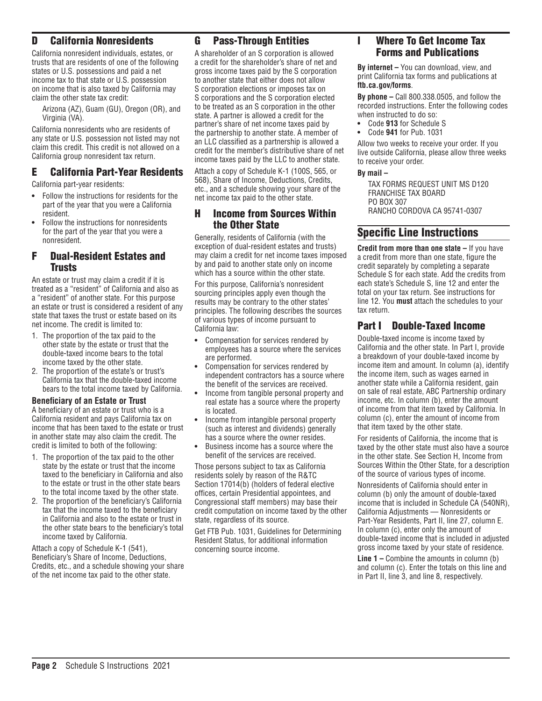# D California Nonresidents

California nonresident individuals, estates, or trusts that are residents of one of the following states or U.S. possessions and paid a net income tax to that state or U.S. possession on income that is also taxed by California may claim the other state tax credit:

Arizona (AZ), Guam (GU), Oregon (OR), and Virginia (VA).

California nonresidents who are residents of any state or U.S. possession not listed may not claim this credit. This credit is not allowed on a California group nonresident tax return.

## E California Part-Year Residents

California part-year residents:

- **•** Follow the instructions for residents for the part of the year that you were a California resident.
- **•** Follow the instructions for nonresidents for the part of the year that you were a nonresident.

### F Dual-Resident Estates and **Trusts**

An estate or trust may claim a credit if it is treated as a "resident" of California and also as a "resident" of another state. For this purpose an estate or trust is considered a resident of any state that taxes the trust or estate based on its net income. The credit is limited to:

- 1. The proportion of the tax paid to the other state by the estate or trust that the double-taxed income bears to the total income taxed by the other state.
- 2. The proportion of the estate's or trust's California tax that the double-taxed income bears to the total income taxed by California.

#### **Beneficiary of an Estate or Trust**

A beneficiary of an estate or trust who is a California resident and pays California tax on income that has been taxed to the estate or trust in another state may also claim the credit. The credit is limited to both of the following:

- 1. The proportion of the tax paid to the other state by the estate or trust that the income taxed to the beneficiary in California and also to the estate or trust in the other state bears to the total income taxed by the other state.
- 2. The proportion of the beneficiary's California tax that the income taxed to the beneficiary in California and also to the estate or trust in the other state bears to the beneficiary's total income taxed by California.

Attach a copy of Schedule K-1 (541), Beneficiary's Share of Income, Deductions, Credits, etc., and a schedule showing your share of the net income tax paid to the other state.

# G Pass-Through Entities

A shareholder of an S corporation is allowed a credit for the shareholder's share of net and gross income taxes paid by the S corporation to another state that either does not allow S corporation elections or imposes tax on S corporations and the S corporation elected to be treated as an S corporation in the other state. A partner is allowed a credit for the partner's share of net income taxes paid by the partnership to another state. A member of an LLC classified as a partnership is allowed a credit for the member's distributive share of net income taxes paid by the LLC to another state.

Attach a copy of Schedule K-1 (100S, 565, or 568), Share of Income, Deductions, Credits, etc., and a schedule showing your share of the net income tax paid to the other state.

## H Income from Sources Within the Other State

Generally, residents of California (with the exception of dual-resident estates and trusts) may claim a credit for net income taxes imposed by and paid to another state only on income which has a source within the other state.

For this purpose, California's nonresident sourcing principles apply even though the results may be contrary to the other states' principles. The following describes the sources of various types of income pursuant to California law:

- **•** Compensation for services rendered by employees has a source where the services are performed.
- **•** Compensation for services rendered by independent contractors has a source where the benefit of the services are received.
- **•** Income from tangible personal property and real estate has a source where the property is located.
- **•** Income from intangible personal property (such as interest and dividends) generally has a source where the owner resides.
- **•** Business income has a source where the benefit of the services are received.

Those persons subject to tax as California residents solely by reason of the R&TC Section 17014(b) (holders of federal elective offices, certain Presidential appointees, and Congressional staff members) may base their credit computation on income taxed by the other state, regardless of its source.

Get FTB Pub. 1031, Guidelines for Determining Resident Status, for additional information concerning source income.

# I Where To Get Income Tax Forms and Publications

**By internet –** You can download, view, and print California tax forms and publications at **ftb.ca.gov/forms**.

**By phone –** Call 800.338.0505, and follow the recorded instructions. Enter the following codes when instructed to do so:

- **•** Code **913** for Schedule S
- **•** Code **941** for Pub. 1031

Allow two weeks to receive your order. If you live outside California, please allow three weeks to receive your order.

**By mail –** 

TAX FORMS REQUEST UNIT MS D120 FRANCHISE TAX BOARD PO BOX 307 RANCHO CORDOVA CA 95741-0307

# Specific Line Instructions

**Credit from more than one state –** If you have a credit from more than one state, figure the credit separately by completing a separate Schedule S for each state. Add the credits from each state's Schedule S, line 12 and enter the total on your tax return. See instructions for line 12. You **must** attach the schedules to your tax return.

# Part I Double-Taxed Income

Double-taxed income is income taxed by California and the other state. In Part I, provide a breakdown of your double-taxed income by income item and amount. In column (a), identify the income item, such as wages earned in another state while a California resident, gain on sale of real estate, ABC Partnership ordinary income, etc. In column (b), enter the amount of income from that item taxed by California. In column (c), enter the amount of income from that item taxed by the other state.

For residents of California, the income that is taxed by the other state must also have a source in the other state. See Section H, Income from Sources Within the Other State, for a description of the source of various types of income.

Nonresidents of California should enter in column (b) only the amount of double-taxed income that is included in Schedule CA (540NR), California Adjustments — Nonresidents or Part-Year Residents, Part II, line 27, column E. In column (c), enter only the amount of double-taxed income that is included in adjusted gross income taxed by your state of residence.

**Line 1 –** Combine the amounts in column (b) and column (c). Enter the totals on this line and in Part II, line 3, and line 8, respectively.